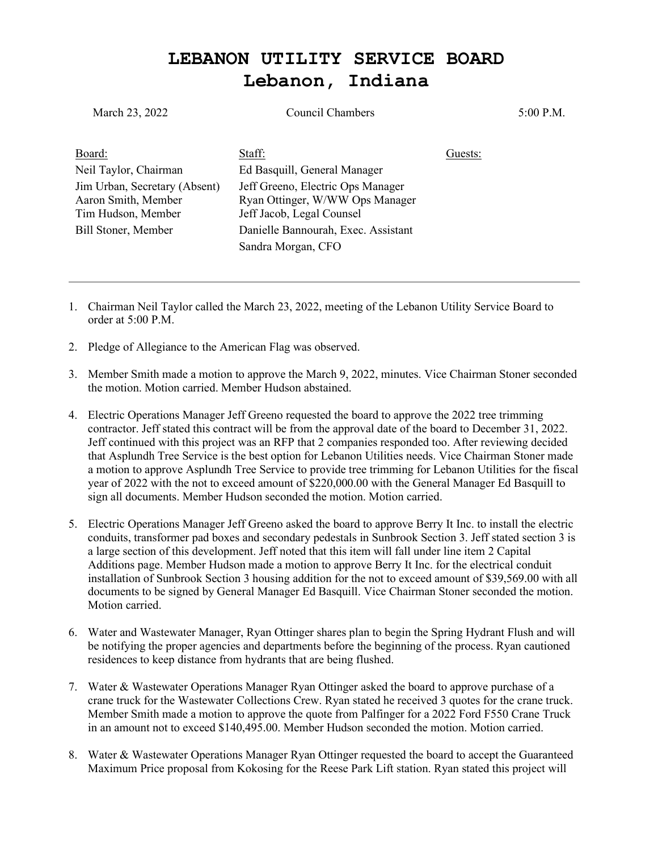## **LEBANON UTILITY SERVICE BOARD Lebanon, Indiana**

| Council Chambers                                                                                  |         | $5:00$ P.M. |
|---------------------------------------------------------------------------------------------------|---------|-------------|
| Staff:                                                                                            | Guests: |             |
| Ed Basquill, General Manager                                                                      |         |             |
| Jeff Greeno, Electric Ops Manager<br>Ryan Ottinger, W/WW Ops Manager<br>Jeff Jacob, Legal Counsel |         |             |
| Danielle Bannourah, Exec. Assistant                                                               |         |             |
| Sandra Morgan, CFO                                                                                |         |             |
|                                                                                                   |         |             |
|                                                                                                   |         |             |

- 1. Chairman Neil Taylor called the March 23, 2022, meeting of the Lebanon Utility Service Board to order at 5:00 P.M.
- 2. Pledge of Allegiance to the American Flag was observed.
- 3. Member Smith made a motion to approve the March 9, 2022, minutes. Vice Chairman Stoner seconded the motion. Motion carried. Member Hudson abstained.
- 4. Electric Operations Manager Jeff Greeno requested the board to approve the 2022 tree trimming contractor. Jeff stated this contract will be from the approval date of the board to December 31, 2022. Jeff continued with this project was an RFP that 2 companies responded too. After reviewing decided that Asplundh Tree Service is the best option for Lebanon Utilities needs. Vice Chairman Stoner made a motion to approve Asplundh Tree Service to provide tree trimming for Lebanon Utilities for the fiscal year of 2022 with the not to exceed amount of \$220,000.00 with the General Manager Ed Basquill to sign all documents. Member Hudson seconded the motion. Motion carried.
- 5. Electric Operations Manager Jeff Greeno asked the board to approve Berry It Inc. to install the electric conduits, transformer pad boxes and secondary pedestals in Sunbrook Section 3. Jeff stated section 3 is a large section of this development. Jeff noted that this item will fall under line item 2 Capital Additions page. Member Hudson made a motion to approve Berry It Inc. for the electrical conduit installation of Sunbrook Section 3 housing addition for the not to exceed amount of \$39,569.00 with all documents to be signed by General Manager Ed Basquill. Vice Chairman Stoner seconded the motion. Motion carried.
- 6. Water and Wastewater Manager, Ryan Ottinger shares plan to begin the Spring Hydrant Flush and will be notifying the proper agencies and departments before the beginning of the process. Ryan cautioned residences to keep distance from hydrants that are being flushed.
- 7. Water & Wastewater Operations Manager Ryan Ottinger asked the board to approve purchase of a crane truck for the Wastewater Collections Crew. Ryan stated he received 3 quotes for the crane truck. Member Smith made a motion to approve the quote from Palfinger for a 2022 Ford F550 Crane Truck in an amount not to exceed \$140,495.00. Member Hudson seconded the motion. Motion carried.
- 8. Water & Wastewater Operations Manager Ryan Ottinger requested the board to accept the Guaranteed Maximum Price proposal from Kokosing for the Reese Park Lift station. Ryan stated this project will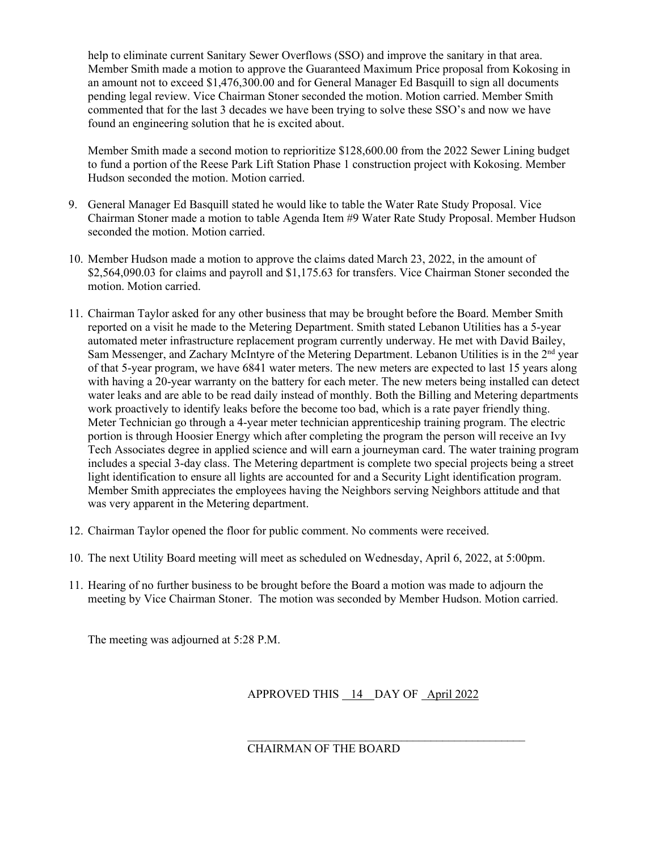help to eliminate current Sanitary Sewer Overflows (SSO) and improve the sanitary in that area. Member Smith made a motion to approve the Guaranteed Maximum Price proposal from Kokosing in an amount not to exceed \$1,476,300.00 and for General Manager Ed Basquill to sign all documents pending legal review. Vice Chairman Stoner seconded the motion. Motion carried. Member Smith commented that for the last 3 decades we have been trying to solve these SSO's and now we have found an engineering solution that he is excited about.

Member Smith made a second motion to reprioritize \$128,600.00 from the 2022 Sewer Lining budget to fund a portion of the Reese Park Lift Station Phase 1 construction project with Kokosing. Member Hudson seconded the motion. Motion carried.

- 9. General Manager Ed Basquill stated he would like to table the Water Rate Study Proposal. Vice Chairman Stoner made a motion to table Agenda Item #9 Water Rate Study Proposal. Member Hudson seconded the motion. Motion carried.
- 10. Member Hudson made a motion to approve the claims dated March 23, 2022, in the amount of \$2,564,090.03 for claims and payroll and \$1,175.63 for transfers. Vice Chairman Stoner seconded the motion. Motion carried.
- 11. Chairman Taylor asked for any other business that may be brought before the Board. Member Smith reported on a visit he made to the Metering Department. Smith stated Lebanon Utilities has a 5-year automated meter infrastructure replacement program currently underway. He met with David Bailey, Sam Messenger, and Zachary McIntyre of the Metering Department. Lebanon Utilities is in the 2<sup>nd</sup> year of that 5-year program, we have 6841 water meters. The new meters are expected to last 15 years along with having a 20-year warranty on the battery for each meter. The new meters being installed can detect water leaks and are able to be read daily instead of monthly. Both the Billing and Metering departments work proactively to identify leaks before the become too bad, which is a rate payer friendly thing. Meter Technician go through a 4-year meter technician apprenticeship training program. The electric portion is through Hoosier Energy which after completing the program the person will receive an Ivy Tech Associates degree in applied science and will earn a journeyman card. The water training program includes a special 3-day class. The Metering department is complete two special projects being a street light identification to ensure all lights are accounted for and a Security Light identification program. Member Smith appreciates the employees having the Neighbors serving Neighbors attitude and that was very apparent in the Metering department.
- 12. Chairman Taylor opened the floor for public comment. No comments were received.
- 10. The next Utility Board meeting will meet as scheduled on Wednesday, April 6, 2022, at 5:00pm.
- 11. Hearing of no further business to be brought before the Board a motion was made to adjourn the meeting by Vice Chairman Stoner. The motion was seconded by Member Hudson. Motion carried.

The meeting was adjourned at 5:28 P.M.

APPROVED THIS 14 DAY OF April 2022

\_\_\_\_\_\_\_\_\_\_\_\_\_\_\_\_\_\_\_\_\_\_\_\_\_\_\_\_\_\_\_\_\_\_\_\_\_\_\_\_\_\_\_\_\_\_\_

CHAIRMAN OF THE BOARD